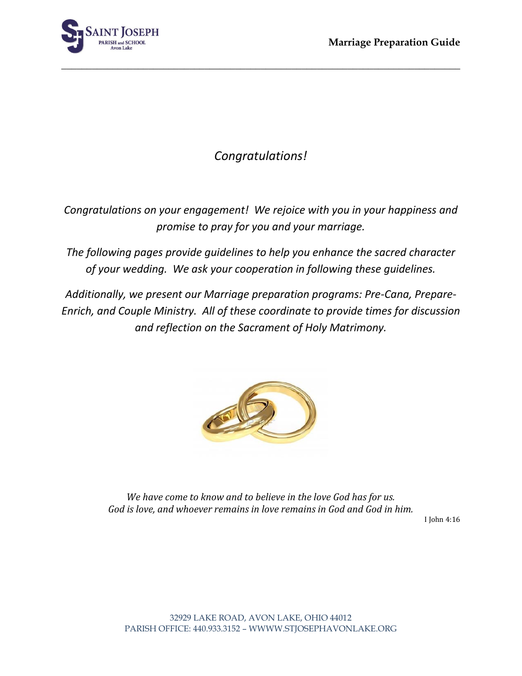

# *Congratulations!*

**\_\_\_\_\_\_\_\_\_\_\_\_\_\_\_\_\_\_\_\_\_\_\_\_\_\_\_\_\_\_\_\_\_\_\_\_\_\_\_\_\_\_\_\_\_\_\_\_\_\_\_\_\_\_\_\_\_\_\_\_\_\_\_\_\_\_\_\_\_\_\_\_\_\_\_\_\_\_**

*Congratulations on your engagement! We rejoice with you in your happiness and promise to pray for you and your marriage.*

*The following pages provide guidelines to help you enhance the sacred character of your wedding. We ask your cooperation in following these guidelines.*

*Additionally, we present our Marriage preparation programs: Pre-Cana, Prepare-Enrich, and Couple Ministry. All of these coordinate to provide times for discussion and reflection on the Sacrament of Holy Matrimony.*



*We have come to know and to believe in the love God has for us. God is love, and whoever remains in love remains in God and God in him.*

I John 4:16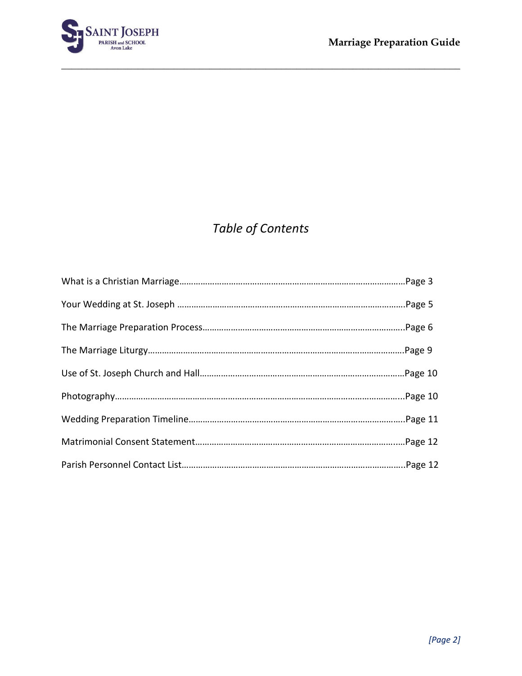

# *Table of Contents*

**\_\_\_\_\_\_\_\_\_\_\_\_\_\_\_\_\_\_\_\_\_\_\_\_\_\_\_\_\_\_\_\_\_\_\_\_\_\_\_\_\_\_\_\_\_\_\_\_\_\_\_\_\_\_\_\_\_\_\_\_\_\_\_\_\_\_\_\_\_\_\_\_\_\_\_\_\_\_**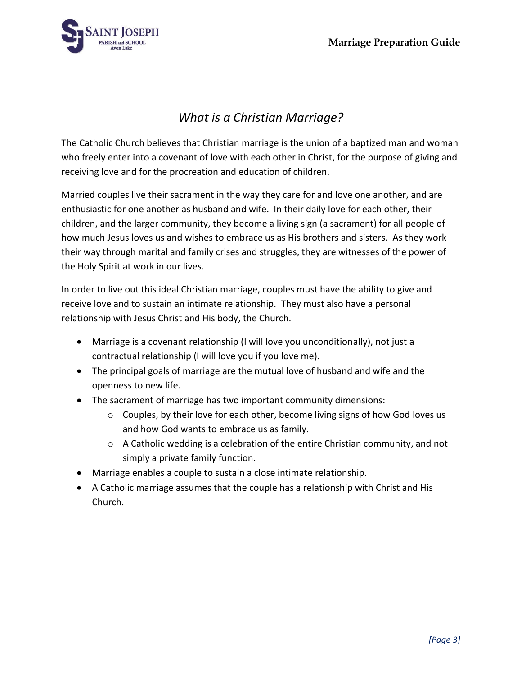

# *What is a Christian Marriage?*

**\_\_\_\_\_\_\_\_\_\_\_\_\_\_\_\_\_\_\_\_\_\_\_\_\_\_\_\_\_\_\_\_\_\_\_\_\_\_\_\_\_\_\_\_\_\_\_\_\_\_\_\_\_\_\_\_\_\_\_\_\_\_\_\_\_\_\_\_\_\_\_\_\_\_\_\_\_\_**

The Catholic Church believes that Christian marriage is the union of a baptized man and woman who freely enter into a covenant of love with each other in Christ, for the purpose of giving and receiving love and for the procreation and education of children.

Married couples live their sacrament in the way they care for and love one another, and are enthusiastic for one another as husband and wife. In their daily love for each other, their children, and the larger community, they become a living sign (a sacrament) for all people of how much Jesus loves us and wishes to embrace us as His brothers and sisters. As they work their way through marital and family crises and struggles, they are witnesses of the power of the Holy Spirit at work in our lives.

In order to live out this ideal Christian marriage, couples must have the ability to give and receive love and to sustain an intimate relationship. They must also have a personal relationship with Jesus Christ and His body, the Church.

- Marriage is a covenant relationship (I will love you unconditionally), not just a contractual relationship (I will love you if you love me).
- The principal goals of marriage are the mutual love of husband and wife and the openness to new life.
- The sacrament of marriage has two important community dimensions:
	- $\circ$  Couples, by their love for each other, become living signs of how God loves us and how God wants to embrace us as family.
	- $\circ$  A Catholic wedding is a celebration of the entire Christian community, and not simply a private family function.
- Marriage enables a couple to sustain a close intimate relationship.
- A Catholic marriage assumes that the couple has a relationship with Christ and His Church.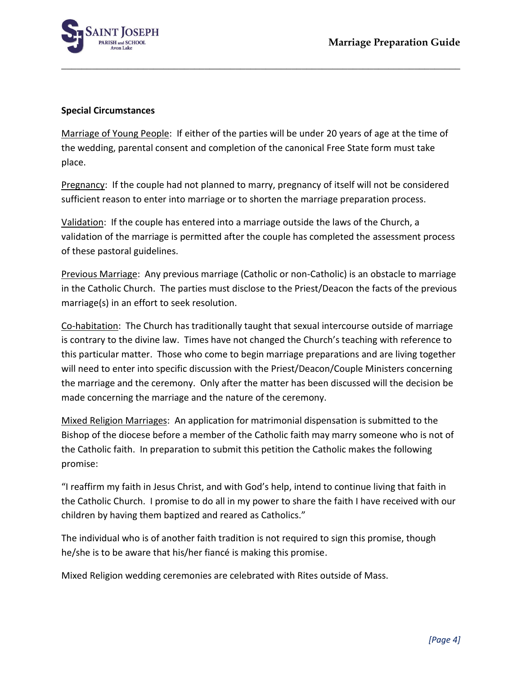

#### **Special Circumstances**

Marriage of Young People: If either of the parties will be under 20 years of age at the time of the wedding, parental consent and completion of the canonical Free State form must take place.

**\_\_\_\_\_\_\_\_\_\_\_\_\_\_\_\_\_\_\_\_\_\_\_\_\_\_\_\_\_\_\_\_\_\_\_\_\_\_\_\_\_\_\_\_\_\_\_\_\_\_\_\_\_\_\_\_\_\_\_\_\_\_\_\_\_\_\_\_\_\_\_\_\_\_\_\_\_\_**

Pregnancy: If the couple had not planned to marry, pregnancy of itself will not be considered sufficient reason to enter into marriage or to shorten the marriage preparation process.

Validation: If the couple has entered into a marriage outside the laws of the Church, a validation of the marriage is permitted after the couple has completed the assessment process of these pastoral guidelines.

Previous Marriage: Any previous marriage (Catholic or non-Catholic) is an obstacle to marriage in the Catholic Church. The parties must disclose to the Priest/Deacon the facts of the previous marriage(s) in an effort to seek resolution.

Co-habitation: The Church has traditionally taught that sexual intercourse outside of marriage is contrary to the divine law. Times have not changed the Church's teaching with reference to this particular matter. Those who come to begin marriage preparations and are living together will need to enter into specific discussion with the Priest/Deacon/Couple Ministers concerning the marriage and the ceremony. Only after the matter has been discussed will the decision be made concerning the marriage and the nature of the ceremony.

Mixed Religion Marriages: An application for matrimonial dispensation is submitted to the Bishop of the diocese before a member of the Catholic faith may marry someone who is not of the Catholic faith. In preparation to submit this petition the Catholic makes the following promise:

"I reaffirm my faith in Jesus Christ, and with God's help, intend to continue living that faith in the Catholic Church. I promise to do all in my power to share the faith I have received with our children by having them baptized and reared as Catholics."

The individual who is of another faith tradition is not required to sign this promise, though he/she is to be aware that his/her fiancé is making this promise.

Mixed Religion wedding ceremonies are celebrated with Rites outside of Mass.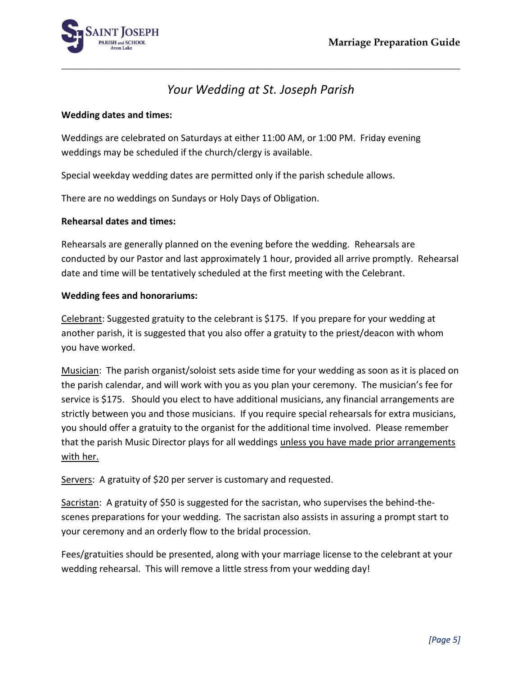

# *Your Wedding at St. Joseph Parish*

**\_\_\_\_\_\_\_\_\_\_\_\_\_\_\_\_\_\_\_\_\_\_\_\_\_\_\_\_\_\_\_\_\_\_\_\_\_\_\_\_\_\_\_\_\_\_\_\_\_\_\_\_\_\_\_\_\_\_\_\_\_\_\_\_\_\_\_\_\_\_\_\_\_\_\_\_\_\_**

### **Wedding dates and times:**

Weddings are celebrated on Saturdays at either 11:00 AM, or 1:00 PM. Friday evening weddings may be scheduled if the church/clergy is available.

Special weekday wedding dates are permitted only if the parish schedule allows.

There are no weddings on Sundays or Holy Days of Obligation.

### **Rehearsal dates and times:**

Rehearsals are generally planned on the evening before the wedding. Rehearsals are conducted by our Pastor and last approximately 1 hour, provided all arrive promptly. Rehearsal date and time will be tentatively scheduled at the first meeting with the Celebrant.

### **Wedding fees and honorariums:**

Celebrant: Suggested gratuity to the celebrant is \$175. If you prepare for your wedding at another parish, it is suggested that you also offer a gratuity to the priest/deacon with whom you have worked.

Musician: The parish organist/soloist sets aside time for your wedding as soon as it is placed on the parish calendar, and will work with you as you plan your ceremony. The musician's fee for service is \$175. Should you elect to have additional musicians, any financial arrangements are strictly between you and those musicians. If you require special rehearsals for extra musicians, you should offer a gratuity to the organist for the additional time involved. Please remember that the parish Music Director plays for all weddings unless you have made prior arrangements with her.

Servers: A gratuity of \$20 per server is customary and requested.

Sacristan: A gratuity of \$50 is suggested for the sacristan, who supervises the behind-thescenes preparations for your wedding. The sacristan also assists in assuring a prompt start to your ceremony and an orderly flow to the bridal procession.

Fees/gratuities should be presented, along with your marriage license to the celebrant at your wedding rehearsal. This will remove a little stress from your wedding day!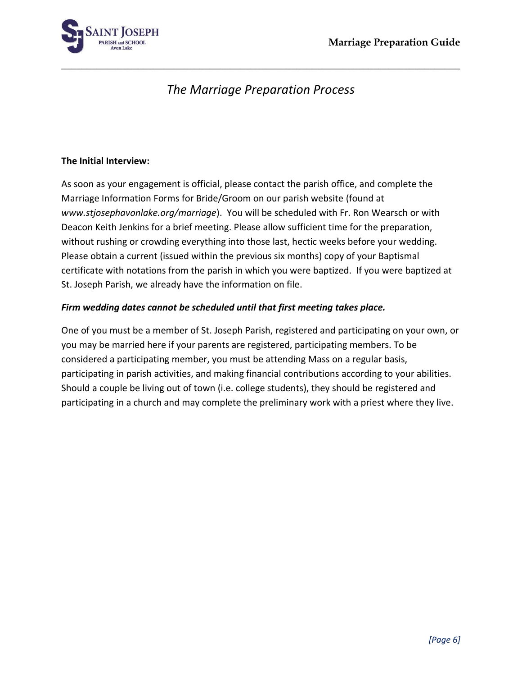

# *The Marriage Preparation Process*

**\_\_\_\_\_\_\_\_\_\_\_\_\_\_\_\_\_\_\_\_\_\_\_\_\_\_\_\_\_\_\_\_\_\_\_\_\_\_\_\_\_\_\_\_\_\_\_\_\_\_\_\_\_\_\_\_\_\_\_\_\_\_\_\_\_\_\_\_\_\_\_\_\_\_\_\_\_\_**

### **The Initial Interview:**

As soon as your engagement is official, please contact the parish office, and complete the Marriage Information Forms for Bride/Groom on our parish website (found at *www.stjosephavonlake.org/marriage*). You will be scheduled with Fr. Ron Wearsch or with Deacon Keith Jenkins for a brief meeting. Please allow sufficient time for the preparation, without rushing or crowding everything into those last, hectic weeks before your wedding. Please obtain a current (issued within the previous six months) copy of your Baptismal certificate with notations from the parish in which you were baptized. If you were baptized at St. Joseph Parish, we already have the information on file.

### *Firm wedding dates cannot be scheduled until that first meeting takes place.*

One of you must be a member of St. Joseph Parish, registered and participating on your own, or you may be married here if your parents are registered, participating members. To be considered a participating member, you must be attending Mass on a regular basis, participating in parish activities, and making financial contributions according to your abilities. Should a couple be living out of town (i.e. college students), they should be registered and participating in a church and may complete the preliminary work with a priest where they live.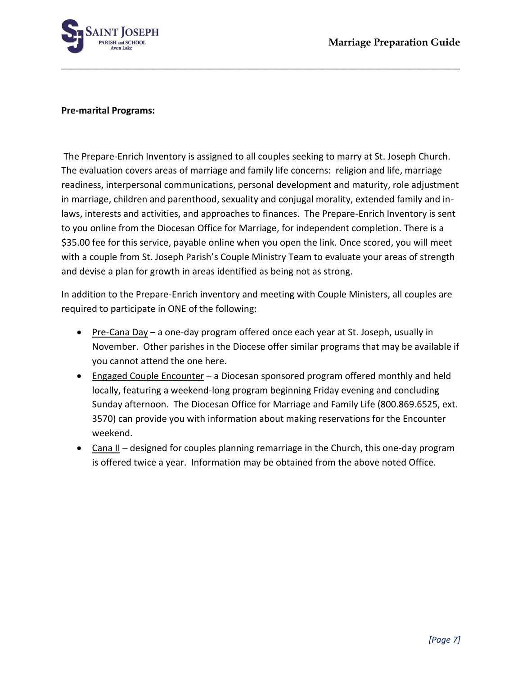

#### **Pre-marital Programs:**

The Prepare-Enrich Inventory is assigned to all couples seeking to marry at St. Joseph Church. The evaluation covers areas of marriage and family life concerns: religion and life, marriage readiness, interpersonal communications, personal development and maturity, role adjustment in marriage, children and parenthood, sexuality and conjugal morality, extended family and inlaws, interests and activities, and approaches to finances. The Prepare-Enrich Inventory is sent to you online from the Diocesan Office for Marriage, for independent completion. There is a \$35.00 fee for this service, payable online when you open the link. Once scored, you will meet with a couple from St. Joseph Parish's Couple Ministry Team to evaluate your areas of strength and devise a plan for growth in areas identified as being not as strong.

**\_\_\_\_\_\_\_\_\_\_\_\_\_\_\_\_\_\_\_\_\_\_\_\_\_\_\_\_\_\_\_\_\_\_\_\_\_\_\_\_\_\_\_\_\_\_\_\_\_\_\_\_\_\_\_\_\_\_\_\_\_\_\_\_\_\_\_\_\_\_\_\_\_\_\_\_\_\_**

In addition to the Prepare-Enrich inventory and meeting with Couple Ministers, all couples are required to participate in ONE of the following:

- Pre-Cana Day a one-day program offered once each year at St. Joseph, usually in November. Other parishes in the Diocese offer similar programs that may be available if you cannot attend the one here.
- Engaged Couple Encounter a Diocesan sponsored program offered monthly and held locally, featuring a weekend-long program beginning Friday evening and concluding Sunday afternoon. The Diocesan Office for Marriage and Family Life (800.869.6525, ext. 3570) can provide you with information about making reservations for the Encounter weekend.
- Cana II designed for couples planning remarriage in the Church, this one-day program is offered twice a year. Information may be obtained from the above noted Office.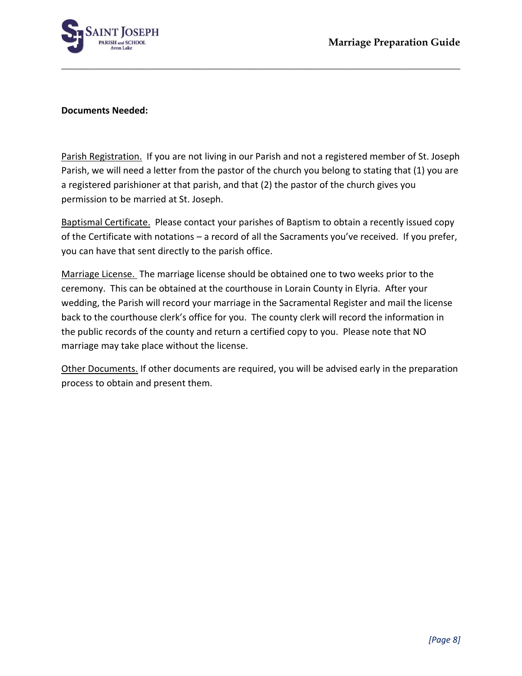

#### **Documents Needed:**

Parish Registration. If you are not living in our Parish and not a registered member of St. Joseph Parish, we will need a letter from the pastor of the church you belong to stating that (1) you are a registered parishioner at that parish, and that (2) the pastor of the church gives you permission to be married at St. Joseph.

**\_\_\_\_\_\_\_\_\_\_\_\_\_\_\_\_\_\_\_\_\_\_\_\_\_\_\_\_\_\_\_\_\_\_\_\_\_\_\_\_\_\_\_\_\_\_\_\_\_\_\_\_\_\_\_\_\_\_\_\_\_\_\_\_\_\_\_\_\_\_\_\_\_\_\_\_\_\_**

Baptismal Certificate. Please contact your parishes of Baptism to obtain a recently issued copy of the Certificate with notations – a record of all the Sacraments you've received. If you prefer, you can have that sent directly to the parish office.

Marriage License. The marriage license should be obtained one to two weeks prior to the ceremony. This can be obtained at the courthouse in Lorain County in Elyria. After your wedding, the Parish will record your marriage in the Sacramental Register and mail the license back to the courthouse clerk's office for you. The county clerk will record the information in the public records of the county and return a certified copy to you. Please note that NO marriage may take place without the license.

Other Documents. If other documents are required, you will be advised early in the preparation process to obtain and present them.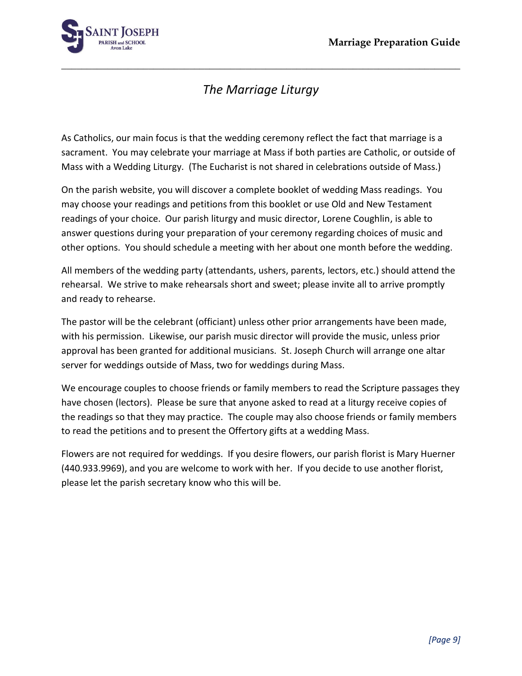

# *The Marriage Liturgy*

**\_\_\_\_\_\_\_\_\_\_\_\_\_\_\_\_\_\_\_\_\_\_\_\_\_\_\_\_\_\_\_\_\_\_\_\_\_\_\_\_\_\_\_\_\_\_\_\_\_\_\_\_\_\_\_\_\_\_\_\_\_\_\_\_\_\_\_\_\_\_\_\_\_\_\_\_\_\_**

As Catholics, our main focus is that the wedding ceremony reflect the fact that marriage is a sacrament. You may celebrate your marriage at Mass if both parties are Catholic, or outside of Mass with a Wedding Liturgy. (The Eucharist is not shared in celebrations outside of Mass.)

On the parish website, you will discover a complete booklet of wedding Mass readings. You may choose your readings and petitions from this booklet or use Old and New Testament readings of your choice. Our parish liturgy and music director, Lorene Coughlin, is able to answer questions during your preparation of your ceremony regarding choices of music and other options. You should schedule a meeting with her about one month before the wedding.

All members of the wedding party (attendants, ushers, parents, lectors, etc.) should attend the rehearsal. We strive to make rehearsals short and sweet; please invite all to arrive promptly and ready to rehearse.

The pastor will be the celebrant (officiant) unless other prior arrangements have been made, with his permission. Likewise, our parish music director will provide the music, unless prior approval has been granted for additional musicians. St. Joseph Church will arrange one altar server for weddings outside of Mass, two for weddings during Mass.

We encourage couples to choose friends or family members to read the Scripture passages they have chosen (lectors). Please be sure that anyone asked to read at a liturgy receive copies of the readings so that they may practice. The couple may also choose friends or family members to read the petitions and to present the Offertory gifts at a wedding Mass.

Flowers are not required for weddings. If you desire flowers, our parish florist is Mary Huerner (440.933.9969), and you are welcome to work with her. If you decide to use another florist, please let the parish secretary know who this will be.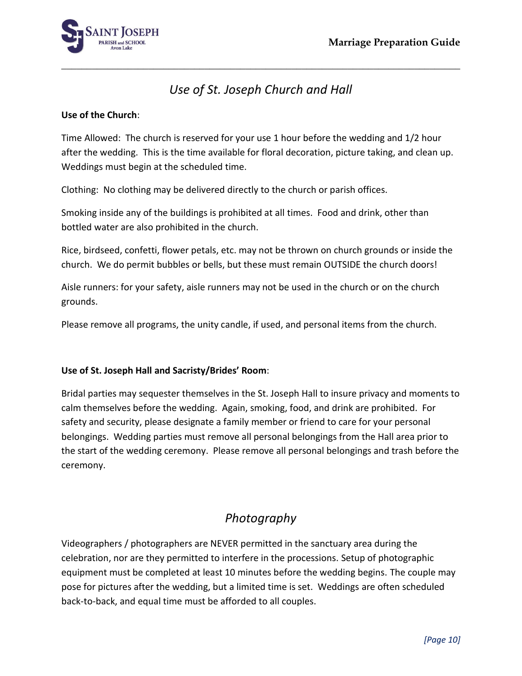

# *Use of St. Joseph Church and Hall*

**\_\_\_\_\_\_\_\_\_\_\_\_\_\_\_\_\_\_\_\_\_\_\_\_\_\_\_\_\_\_\_\_\_\_\_\_\_\_\_\_\_\_\_\_\_\_\_\_\_\_\_\_\_\_\_\_\_\_\_\_\_\_\_\_\_\_\_\_\_\_\_\_\_\_\_\_\_\_**

### **Use of the Church**:

Time Allowed: The church is reserved for your use 1 hour before the wedding and 1/2 hour after the wedding. This is the time available for floral decoration, picture taking, and clean up. Weddings must begin at the scheduled time.

Clothing: No clothing may be delivered directly to the church or parish offices.

Smoking inside any of the buildings is prohibited at all times. Food and drink, other than bottled water are also prohibited in the church.

Rice, birdseed, confetti, flower petals, etc. may not be thrown on church grounds or inside the church. We do permit bubbles or bells, but these must remain OUTSIDE the church doors!

Aisle runners: for your safety, aisle runners may not be used in the church or on the church grounds.

Please remove all programs, the unity candle, if used, and personal items from the church.

### **Use of St. Joseph Hall and Sacristy/Brides' Room**:

Bridal parties may sequester themselves in the St. Joseph Hall to insure privacy and moments to calm themselves before the wedding. Again, smoking, food, and drink are prohibited. For safety and security, please designate a family member or friend to care for your personal belongings. Wedding parties must remove all personal belongings from the Hall area prior to the start of the wedding ceremony. Please remove all personal belongings and trash before the ceremony.

## *Photography*

Videographers / photographers are NEVER permitted in the sanctuary area during the celebration, nor are they permitted to interfere in the processions. Setup of photographic equipment must be completed at least 10 minutes before the wedding begins. The couple may pose for pictures after the wedding, but a limited time is set. Weddings are often scheduled back-to-back, and equal time must be afforded to all couples.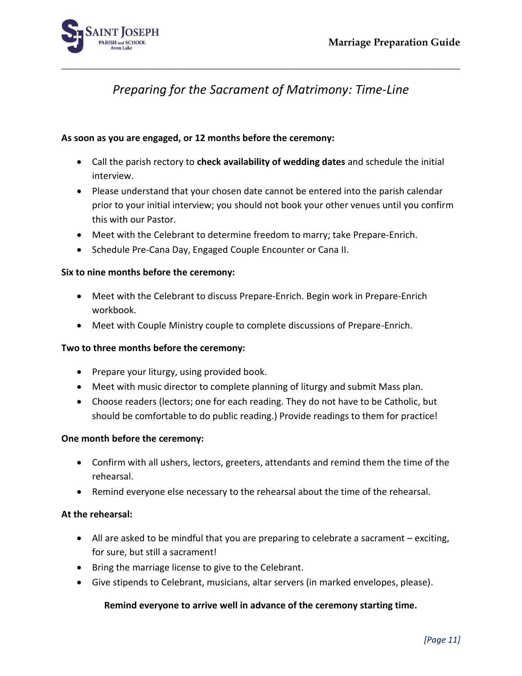

# *Preparing for the Sacrament of Matrimony: Time-Line*

**\_\_\_\_\_\_\_\_\_\_\_\_\_\_\_\_\_\_\_\_\_\_\_\_\_\_\_\_\_\_\_\_\_\_\_\_\_\_\_\_\_\_\_\_\_\_\_\_\_\_\_\_\_\_\_\_\_\_\_\_\_\_\_\_\_\_\_\_\_\_\_\_\_\_\_\_\_\_**

### **As soon as you are engaged, or 12 months before the ceremony:**

- Call the parish rectory to **check availability of wedding dates** and schedule the initial interview.
- Please understand that your chosen date cannot be entered into the parish calendar prior to your initial interview; you should not book your other venues until you confirm this with our Pastor.
- Meet with the Celebrant to determine freedom to marry; take Prepare-Enrich.
- Schedule Pre-Cana Day, Engaged Couple Encounter or Cana II.

#### **Six to nine months before the ceremony:**

- Meet with the Celebrant to discuss Prepare-Enrich. Begin work in Prepare-Enrich workbook.
- Meet with Couple Ministry couple to complete discussions of Prepare-Enrich.

#### **Two to three months before the ceremony:**

- Prepare your liturgy, using provided book.
- Meet with music director to complete planning of liturgy and submit Mass plan.
- Choose readers (lectors; one for each reading. They do not have to be Catholic, but should be comfortable to do public reading.) Provide readings to them for practice!

#### **One month before the ceremony:**

- Confirm with all ushers, lectors, greeters, attendants and remind them the time of the rehearsal.
- Remind everyone else necessary to the rehearsal about the time of the rehearsal.

#### **At the rehearsal:**

- All are asked to be mindful that you are preparing to celebrate a sacrament exciting, for sure, but still a sacrament!
- Bring the marriage license to give to the Celebrant.
- Give stipends to Celebrant, musicians, altar servers (in marked envelopes, please).

#### **Remind everyone to arrive well in advance of the ceremony starting time.**